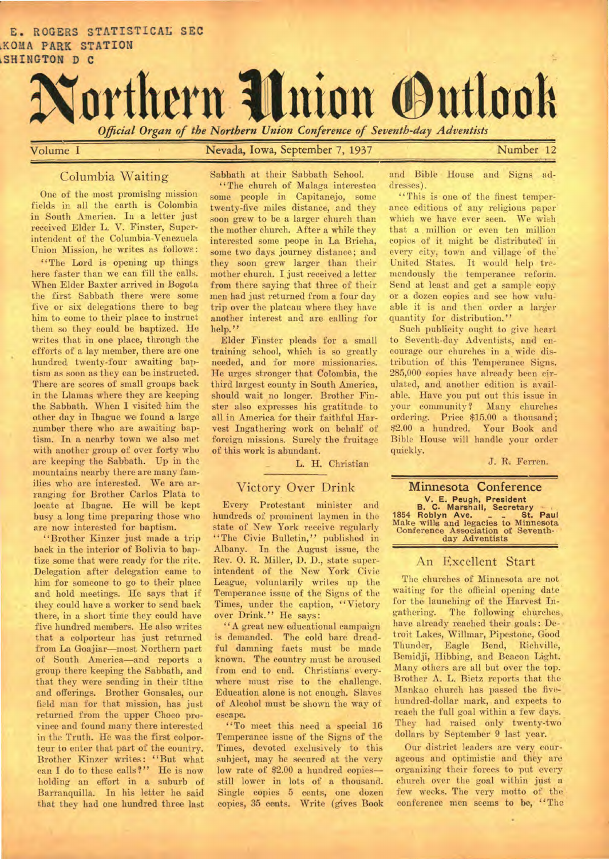

Volume I Nevada, Iowa, September 7, 1937 Number 12

#### Columbia Waiting

One of the most promising mission fields in all the earth is Colombia in South America. In a letter just received Elder L. V. Finster, Superintendent of the Columbia-Venezuela Union Mission, he writes as follows:

"The Lord is opening up things here faster than we can fill the calls. When Elder Baxter arrived in Bogota the first Sabbath there were some five or six delegations there to beg him to come to their place to instruct them so they could be baptized. He writes that in one place, through the efforts of a lay member, there are one hundred twenty-four awaiting baptism as soon as they can be instructed. There are scores of small groups back in the Llamas where they are keeping the Sabbath. When I visited him the other day in Ibague we found a large number there who are awaiting baptism. In a nearby town we also met with another group of over forty who are keeping the Sabbath. Up in the mountains nearby there are many families who are interested. We are arranging for Brother Carlos Plata to locate at Ibague. He will be kept busy a long time preparing those who are now interested for baptism.

"Brother Kinzer just made a trip back in the interior of Bolivia to baptize some that were ready for the rite. Delegation after delegation came to him for someone to go to their place and hold meetings. He says that if they could have a worker to send back there, in a short time they could have five hundred members. He also writes that a colporteur has just returned from La Goajiar—most Northern part of South America—and reports a group there keeping the Sabbath, and that they were sending in their tithe and offerings. Brother Gonsales, our field man for that mission, has just returned from the upper Choco province and found many there interested in the Truth. He was the first colporteur to enter that part of the country. Brother Kinzer writes: "But what can I do to these calls'?" He is now holding an effort in a suburb of Barranquilla. In his letter he said that they had one hundred three last Sabbath at their Sabbath School.

"The church of Malaga interesten some people in Capitanejo, some twenty-five miles distance, and they soon grew to be a larger church than the mother church. After a white they interested some peope in La Bricha, some two days journey distance; and they soon grew larger than their mother church. I just received a letter from there saying that three of their men had just returned from a four day trip over the plateau where they have another interest and are calling for help."

Elder Finster pleads for a small training school, which is so greatly needed, and for more missionaries. He urges stronger that Colombia, the third largest county in South America, should wait no longer. Brother Finster also expresses his gratitude to all in America for their faithful Harvest Ingathering work on behalf of foreign missions. Surely the fruitage of this work is abundant.

L. H. Christian

## Victory Over Drink

Every Protestant minister and hundreds of prominent laymen in the state of New York receive regularly "The Civic Bulletin," published in Albany. In the August issue, the Rev. 0. R. Miller, D. D., state superintendent of the New York Civic League, voluntarily writes up the Temperance issue of the Signs of the Times, under the caption, "Victory over Drink." He says:

"A great new educational campaign is demanded. The cold bare dreadful damning facts must be made known. The country must be aroused from end to end. Christians everywhere must rise to the challenge. Education alone is not enough. Slaves of Alcohol must be shown the way of escape.

"To meet this need a special 16 Temperance issue of the Signs of the Times, devoted exclusively to this subject, may be secured at the very low rate of \$2.00 a hundred copies still lower in lots of a thousand. Single copies 5 cents, one dozen copies, 35 cents. Write (gives Book

and Bible House and Signs addresses).

**41••=1Mr** 

"This is one of the finest temperance editions of any religious paper which we have ever seen. We wish that a million or even ten million copies of it might be distributed in every city, town and village of the United States. It would help tremendously the temperance reform. Send at least and get a sample copy or a dozen copies and see how valuable it is and then order a larger quantity for distribution."

Such publicity ought to give heart to Seventh-day Adventists, and encourage our churches in a wide distribution of this Temperance Signs. 285,000 copies have already been cirulated, and another edition is available. Have you put out this issue in your community? Many churches ordering. Price \$15.00 a thousand; \$2.00 a hundred. Your Book and Bible House will handle your order quickly.

J. R. Ferren.

# **Minnesota Conference V. E. Peugh, President B. C. Marshall, Secretary 1854 Roblyn Ave. \_ \_ St. Paul**  Make wills and legacies to Minnesota Conference Association of Seventhday Adventists

#### An Excellent Start

The churches of Minnesota are not waiting for the official opening date for the launching of the Harvest Ingathering. The following churches, have already reached their goals: Detroit Lakes, Willmar, Pipestone, Good Thunder, Eagle Bend, Richville, Bemidji, Hibbing, and Beacon Light. Many others are all but over the top. Brother A. L. Bietz reports that the Mankao church has passed the fivehundred-dollar mark, and expects to reach the full goal within a few days. They had raised only twenty-two dollars by September 9 last year.

Our district leaders are very courageous and optimistic and they are organizing their forces to put every church over the goal within just a few weeks. The very motto of the conference men seems to be, "The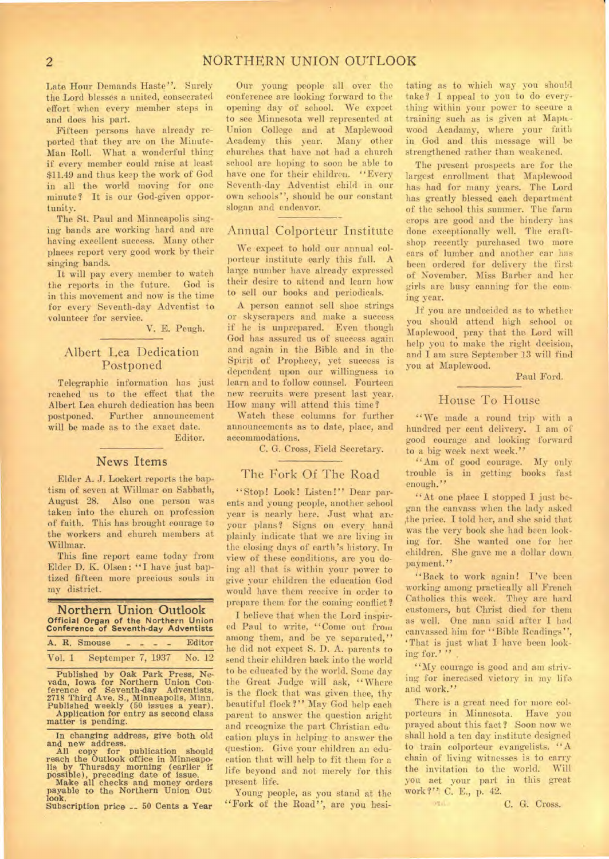# **2 NORTHERN UNION OUTLOOK**

Late Hour Demands Haste". Surely the. Lord blesses a united, consecrated effort *when* every member steps in and does his part.

Fifteen persons have already reported that they are on the Minute-Man Roll. What a wonderful thing if every member could raise at least \$11.49 and thus keep the work of God in all the world moving for one minute? It is our God-given opportunity.

The St. Paul and Minneapolis singing bands are working hard and are having excellent success. Many other places report very good work by their singing bands.

It will pay every member to watch the reports in the future. God is in this movement and now is the time for every Seventh-day Adventist to volunteer for service.

V. E. Peugh.

## Albert Lea Dedication Postponed

Telegraphic information has just reached us to the effect that the Albert Lea church dedication has been<br>postponed. Further announcement Further announcement will be made as to the exact date. Editor.

#### **News Items**

Elder A. J. Lockert reports the baptism of seven at Willmar on Sabbath, August 28. Also one person was taken into the church on profession of faith. This has brought courage to the workers and church members at Willmar.

This fine report came today from Elder D. K. Olsen: "I have just baptized fifteen more precious souls in my district.

**Northern Union Outlook Official Organ of the Northern Union Conference of Seventh-day Adventists** 

|        | A. R. Smouse             |  | Editor |
|--------|--------------------------|--|--------|
| Vol. 1 | Septemper 7, 1937 No. 12 |  |        |

Published by Oak Park Press, Ne-vada, Iowa for Northern Union Con-ference of Seventh-day Adventists. 2718 Third Ave. S., Minneapolis, Minn. Published weekly (50 issues a year). Application for entry as second class matter is pending.

In changing address, give both old

and new address.<br>
All copy for publication should<br>reach the Outlook office in Minneapo-<br>
reach the Outlook office in Minneapo-<br>
lis by Thursday morning (earlier if<br>
possible), preceding date of issue.<br>
Make all checks and

Subscription price -- 50 Cents a Year

Our young people all over the conference are looking forward to the opening day of school. We expect to see Minnesota well represented at Union College and at Maplewood Academy this year. Many other churches that have not had a church school are hoping to soon be able to have one for their children. "Every Seventh-day Adventist child in our own schools", should be our constant slogan and endeavor.

#### Annual Colporteur Institute

We expect to hold our annual colporteur institute early this fall. A large number have already expressed their desire to attend and learn how to sell our books and periodicals.

A person cannot sell shoe strings or skyscrapers and make a success if he is unprepared. Even though God has assured us of success again and again in the Bible and in the Spirit of Prophecy, yet success is dependent upon our willingness to learn and to follow counsel. Fourteen new recruits were present last year. How many will attend this time?

Watch these columns for further announcements as to date, place, and accommodations.

C. G. Cross, Field Secretary.

#### The Fork Of The Road

"Stop! Look! Listen!" Dear parents and young people, another school year is nearly here. Just what are your plans? Signs on every hand plainly indicate that we are living in the closing days of earth's history. In view of these conditions, are you doing all that is within your power to give your children the education God would have them receive in order to prepare them for the coming conflict?

I believe that when the Lord inspired Paul to write, "Come out from among them, and be ye separated," he did not expect S. D. A. parents to send their children back into the world to be educated by the world. Some day the Great Judge will ask, "Where is the flock that was given thee, thy beautiful flock?" May God help each parent to answer the question aright and recognize the part Christian education plays in helping to answer the question. Give your children an education that will help to fit them for a life beyond and not merely for this present life.

Young people, as you stand at the "Fork of the Road", are you hesi-

tating as to which way you should take? I appeal to you to do everything within your power to secure a training such as is given at Maplewood Acadamy, where your faith in God and this message will be strengthened rather than weakened.

The present prospects are for the largest enrollment that Maplewood has had for many years. The Lord has greatly blessed each department of the school this summer. The farm crops are good and the bindery has done exceptionally well. The craftshop recently purchased two more cars of lumber and another car has been ordered for delivery the first of November. Miss Barber and her girls are busy canning for the coming year.

If you are undecided as to whether you should attend high school or Maplewood, pray that the Lord will help you to make the right decision, and I am sure September 13 will find you at Maplewood.

Paul Ford.

#### House To House

"We made a round trip with a hundred per cent delivery. I am of good courage and looking forward to a big week next week."

"Am of good courage. My only trouble is in getting books fast enough."

"At one place I stopped I just began the canvass when the lady asked ,the price. I told her, and she said that was the very book she had been looking for. She wanted one for her children. She gave me a dollar down payment."

"Back to work again! I've been working among practically all French Catholics this week. They are hard customers, but Christ died for them as well. One man said after I had canvassed him for "Bible Readings", `That is just what I have been looking for.'''

"My courage is good and am striving for increased victory in my life and work."

There is a great need for more colporteurs in Minnesota. Have you prayed about this fact? Soon now we shall hold a ten day institute designed to train colporteur evangelists.  $A$ chain of living witnesses is to carry the invitation to the world. Will you act your part in this great work?", C. E., p. 42.

**Stral** 

C. G. Cross.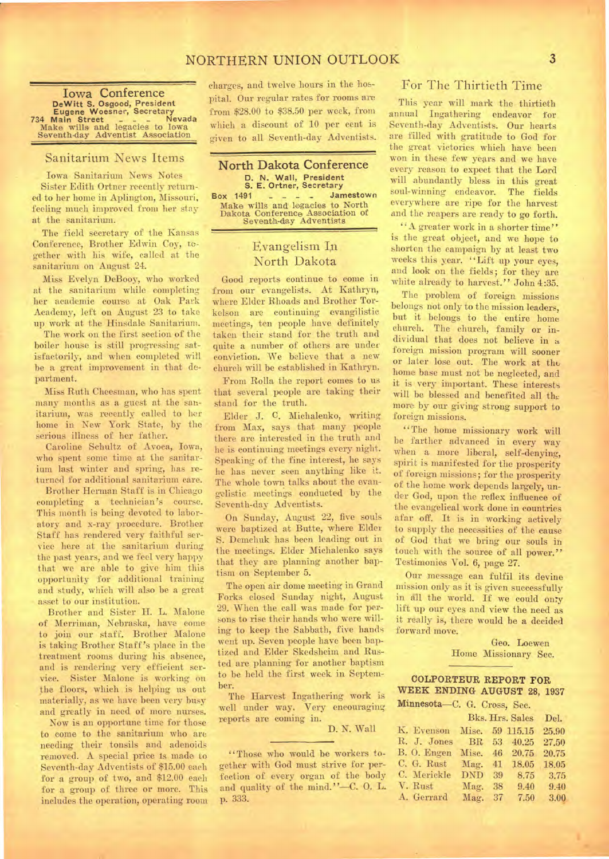# NORTHERN UNION OUTLOOK 3

**Iowa Conference DeWitt S. Osgood, President Eugene Woesner, Secretary Eugene Woesner, Secretary<br>
734 Main Street - - Nevada<br>
Make wills and legacies to Iowa<br>
Seventh-day Adventist Association** 

#### Sanitarium News Items

Iowa Sanitarium News Notes Sister Edith Ortner recently returned to her home in Aplington, Missouri, feeling much improved from her stay at the sanitarium.

The field secretary of the Kansas Conference, Brother Edwin Coy, regether with his wife, called at the sanitarium on August 24.

Miss Evelyn DeBooy, who worked at the sanitarium while completing her academic course at Oak Park Academy, left on August 23 to take up work at the Hinsdale, Sanitarium.

The work on the first section of the boiler house is still progressing satisfactorily, and when completed will he a great improvement in that department.

Miss Ruth Cheesman, who has spent many months as a guest at the sanitarium, was recently called to her home in New York State, by the serious illness of her father.

Caroline Schultz of Avoca, Iowa, who spent some time at the sanitarium last winter and spring, has returned for additional sanitarium care.

Brother Herman Staff is in Chicago completing a technician's course. This month is being devoted to laboratory and x-ray procedure. Brother Staff has rendered very faithful service here at the sanitarium during the past years, and we feel very happy that we are able to give him this opportunity for additional training and study, which will also be a great asset to our institution.

Brother and Sister H. L. Malone of Merriman, Nebraska, have come to join our staff. Brother Malone is taking Brother Staff's place in the treatment rooms during his absence, and is rendering very efficient service. Sister Malone is working on the floors, which is helping us out materially, as we have been very busy and greatly in need of more nurses.

Now is an opportune time for those to come to the sanitarium who are needing their tonsils and adenoids removed. A special price Is made to Seventh-day Adventists of \$15.00 each for a group of two, and \$12.00 each for a group of three or more. This includes the operation, operating room

charges, and twelve hours in the hobpital. Our regular rates for rooms are from \$28.00 to \$38.50 per week, from which a discount of 10 per cent is given to all Seventh-day Adventists.



**Make wills** and legacies to North Dakota Conference Association of Seventh-day Adventists

## Evangelism In North Dakota

Good reports continue to come in from our evangelists. At Kathryn, where Elder Rhoads and Brother Torkelson are continuing evangilistic meetings, ten people have definitely taken their stand for the truth and quite a number of others are under conviction. We believe that a new church will be established in Kathryn.

From Rolla the report comes to us that several people are taking their stand for the truth.

Elder J. C. Michalenko, writing from Max, says that many people there are interested in the truth and he is continuing meetings every night. Speaking of the fine interest, he says he has never seen anything like it. The whole town talks about the evangelistic meetings conducted by the Seventh-day Adventists.

On Sunday, August 22, five souls were baptized at Butte, where Elder S. Demchuk has been leading out in the meetings. Elder Michalenko says that they are planning another baptism on September 5.

The open air dome meeting in Grand Forks closed Sunday night, August 29. When the call was made for persons to rise their hands who were willing to keep the Sabbath, five hands went up. Seven people have been baptized and Elder Skedsheim and Rusted are planning for another baptism to be held the first week in September.

The Harvest Ingathering work is well under way. Very encouraging reports are coming in.

D. N. Wall

"Those who would be workers together with God must strive for perfection of every organ of the body and quality of the mind."—C. **0.** L. p. 333.

## For The Thirtieth Time

This year will mark the thirtieth annual Ingathering endeavor for Seventh-day Adventists. Our hearts are filled with gratitude to God for the great victories which have been won in these few years and we have every reason to expect that the Lord will abundantly bless in this great soul-winning endeavor. The fields everywhere are ripe for the harvest and the reapers are ready to go forth.

"A greater work in a shorter time" is the great object, and we hope to shorten the campaign by at least two weeks this year. "Lift up your eyes, and look on the fields; for they are white already to harvest." John 4:35.

The problem of foreign missions belongs not only to the mission leaders, but it belongs to the entire home church. The church, family or individual that does not believe in a foreign mission program will sooner or later lose out. The work at the home base must not be neglected, and it is very important. These interests will be blessed and benefited all the more by our giving strong support to foreign missions.

"The home missionary work will be farther advanced in every way when a more liberal, self-denying, spirit is manifested for the prosperity of foreign missions; for the prosperity of the home work depends largely, under God, upon the reflex influence of the evangelical work done. in countries afar off. It is in working actively to supply the necessities of the cause of God that we bring our souls in touch with the source of all power." Testimonies Vol. 6, page 27.

Our message can fulfil its devine mission only as it is given successfully in all the world. If we could on:y lift up our eyes and view the need as it really is, there would be a decided forward move.

> Geo. Loewen Home Missionary Sec.

#### **COLPORTEUR REPORT FOR WEEK ENDING AUGUST** 28, 1937 Minnesota—C. G. Cross, Sec.

| more of the Captule Mould |                            |                 |      |          |       |  |  |
|---------------------------|----------------------------|-----------------|------|----------|-------|--|--|
|                           |                            | Bks. Hrs. Sales | Del. |          |       |  |  |
|                           | K. Evenson Misc. 59 115.15 |                 |      |          | 25.90 |  |  |
|                           | R. J. Jones                | BR 53 40.25     |      |          | 27.50 |  |  |
|                           | B. O. Engen Misc.          |                 |      | 46 20.75 | 20.75 |  |  |
|                           | C. G. Rust Mag. 41 18.05   |                 |      |          | 18.05 |  |  |
|                           | C. Merickle                | DND 39          |      | 8.75     | 3.75  |  |  |
|                           | V. Rust                    | Mag.            | 38   | 9.40     | 9.40  |  |  |
|                           | A. Gerrard                 | Mag.            | 37   | 7.50     | 3.00  |  |  |
|                           |                            |                 |      |          |       |  |  |